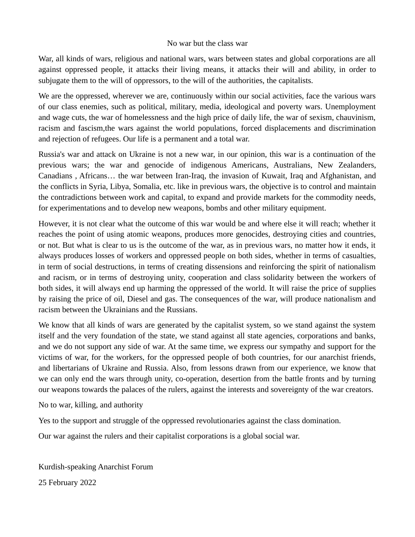## No war but the class war

War, all kinds of wars, religious and national wars, wars between states and global corporations are all against oppressed people, it attacks their living means, it attacks their will and ability, in order to subjugate them to the will of oppressors, to the will of the authorities, the capitalists.

We are the oppressed, wherever we are, continuously within our social activities, face the various wars of our class enemies, such as political, military, media, ideological and poverty wars. Unemployment and wage cuts, the war of homelessness and the high price of daily life, the war of sexism, chauvinism, racism and fascism,the wars against the world populations, forced displacements and discrimination and rejection of refugees. Our life is a permanent and a total war.

Russia's war and attack on Ukraine is not a new war, in our opinion, this war is a continuation of the previous wars; the war and genocide of indigenous Americans, Australians, New Zealanders, Canadians , Africans… the war between Iran-Iraq, the invasion of Kuwait, Iraq and Afghanistan, and the conflicts in Syria, Libya, Somalia, etc. like in previous wars, the objective is to control and maintain the contradictions between work and capital, to expand and provide markets for the commodity needs, for experimentations and to develop new weapons, bombs and other military equipment.

However, it is not clear what the outcome of this war would be and where else it will reach; whether it reaches the point of using atomic weapons, produces more genocides, destroying cities and countries, or not. But what is clear to us is the outcome of the war, as in previous wars, no matter how it ends, it always produces losses of workers and oppressed people on both sides, whether in terms of casualties, in term of social destructions, in terms of creating dissensions and reinforcing the spirit of nationalism and racism, or in terms of destroying unity, cooperation and class solidarity between the workers of both sides, it will always end up harming the oppressed of the world. It will raise the price of supplies by raising the price of oil, Diesel and gas. The consequences of the war, will produce nationalism and racism between the Ukrainians and the Russians.

We know that all kinds of wars are generated by the capitalist system, so we stand against the system itself and the very foundation of the state, we stand against all state agencies, corporations and banks, and we do not support any side of war. At the same time, we express our sympathy and support for the victims of war, for the workers, for the oppressed people of both countries, for our anarchist friends, and libertarians of Ukraine and Russia. Also, from lessons drawn from our experience, we know that we can only end the wars through unity, co-operation, desertion from the battle fronts and by turning our weapons towards the palaces of the rulers, against the interests and sovereignty of the war creators.

No to war, killing, and authority

Yes to the support and struggle of the oppressed revolutionaries against the class domination.

Our war against the rulers and their capitalist corporations is a global social war.

Kurdish-speaking Anarchist Forum 25 February 2022